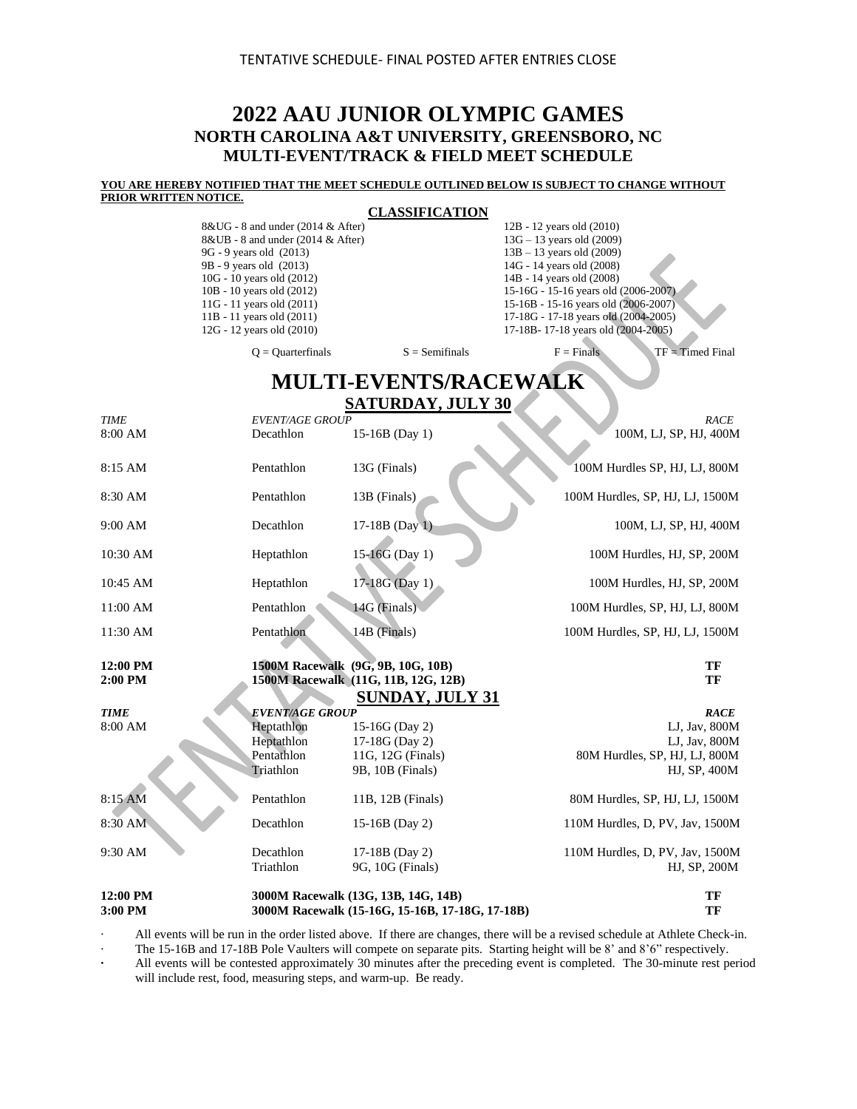### **2022 AAU JUNIOR OLYMPIC GAMES NORTH CAROLINA A&T UNIVERSITY, GREENSBORO, NC MULTI-EVENT/TRACK & FIELD MEET SCHEDULE**

#### **YOU ARE HEREBY NOTIFIED THAT THE MEET SCHEDULE OUTLINED BELOW IS SUBJECT TO CHANGE WITHOUT PRIOR WRITTEN NOTICE.**

#### **CLASSIFICATION**

| $8&UG - 8$ and under (2014 & After)   |                  | 12B - 12 years old (2010)              |                    |
|---------------------------------------|------------------|----------------------------------------|--------------------|
| $8&UB - 8$ and under (2014 $&$ After) |                  | $13G - 13$ years old $(2009)$          |                    |
| 9G - 9 years old (2013)               |                  | $13B - 13$ years old (2009)            |                    |
| 9B - 9 years old (2013)               |                  | 14G - 14 years old (2008)              |                    |
| 10G - 10 years old (2012)             |                  | 14B - 14 years old (2008)              |                    |
| 10B - 10 years old (2012)             |                  | 15-16G - 15-16 years old $(2006-2007)$ |                    |
| 11G - 11 years old $(2011)$           |                  | 15-16B - 15-16 years old (2006-2007)   |                    |
| $11B - 11$ years old $(2011)$         |                  | 17-18G - 17-18 years old (2004-2005)   |                    |
| 12G - 12 years old (2010)             |                  | 17-18B-17-18 years old (2004-2005)     |                    |
|                                       |                  |                                        |                    |
| $Q =$ Ouarterfinals                   | $S =$ Semifinals | $F =$ Finals                           | $TF = Timed Final$ |

**MULTI-EVENTS/RACEWALK SATURDAY, JULY 30**

| 12:00 PM<br>3:00 PM |                        | 3000M Racewalk (13G, 13B, 14G, 14B)<br>3000M Racewalk (15-16G, 15-16B, 17-18G, 17-18B) |                                 | TF<br>TF |
|---------------------|------------------------|----------------------------------------------------------------------------------------|---------------------------------|----------|
|                     |                        |                                                                                        |                                 |          |
|                     | Triathlon              | 9G, 10G (Finals)                                                                       | HJ, SP, 200M                    |          |
| 9:30 AM             | Decathlon              | 17-18B (Day 2)                                                                         | 110M Hurdles, D, PV, Jav, 1500M |          |
| 8:30 AM             | Decathlon              | 15-16B (Day 2)                                                                         | 110M Hurdles, D, PV, Jav, 1500M |          |
| 8:15 AM             | Pentathlon             | 11B, 12B (Finals)                                                                      | 80M Hurdles, SP, HJ, LJ, 1500M  |          |
|                     | Triathlon              | 9B, 10B (Finals)                                                                       | HJ, SP, 400M                    |          |
|                     | Pentathlon             | 11G, 12G (Finals)                                                                      | 80M Hurdles, SP, HJ, LJ, 800M   |          |
|                     | Heptathlon             | 17-18G (Day 2)                                                                         | LJ, Jav, 800M                   |          |
| 8:00 AM             | Heptathlon             | 15-16G (Day 2)                                                                         | LJ, Jav, 800M                   |          |
| <b>TIME</b>         | <b>EVENT/AGE GROUP</b> |                                                                                        |                                 | RACE     |
|                     |                        | <b>SUNDAY, JULY 31</b>                                                                 |                                 |          |
| 2:00 PM             |                        | 1500M Racewalk (11G, 11B, 12G, 12B)                                                    |                                 | TF       |
| 12:00 PM            |                        | 1500M Racewalk (9G, 9B, 10G, 10B)                                                      |                                 | TF       |
| 11:30 AM            | Pentathlon             | 14B (Finals)                                                                           | 100M Hurdles, SP, HJ, LJ, 1500M |          |
|                     |                        |                                                                                        |                                 |          |
| 11:00 AM            | Pentathlon             | 14G (Finals)                                                                           | 100M Hurdles, SP, HJ, LJ, 800M  |          |
| 10:45 AM            | Heptathlon             | 17-18G (Day 1)                                                                         | 100M Hurdles, HJ, SP, 200M      |          |
| 10:30 AM            | Heptathlon             | 15-16G (Day 1)                                                                         | 100M Hurdles, HJ, SP, 200M      |          |
| 9:00 AM             | Decathlon              | 17-18B (Day 1)                                                                         | 100M, LJ, SP, HJ, 400M          |          |
| 8:30 AM             | Pentathlon             | 13B (Finals)                                                                           | 100M Hurdles, SP, HJ, LJ, 1500M |          |
| 8:15 AM             | Pentathlon             | 13G (Finals)                                                                           | 100M Hurdles SP, HJ, LJ, 800M   |          |
| 8:00 AM             | Decathlon              | 15-16B (Day 1)                                                                         | 100M, LJ, SP, HJ, 400M          |          |
| <b>TIME</b>         | <b>EVENT/AGE GROUP</b> |                                                                                        |                                 | RACE     |

· All events will be run in the order listed above. If there are changes, there will be a revised schedule at Athlete Check-in.

· The 15-16B and 17-18B Pole Vaulters will compete on separate pits. Starting height will be 8' and 8'6" respectively.

**·** All events will be contested approximately 30 minutes after the preceding event is completed. The 30-minute rest period will include rest, food, measuring steps, and warm-up. Be ready.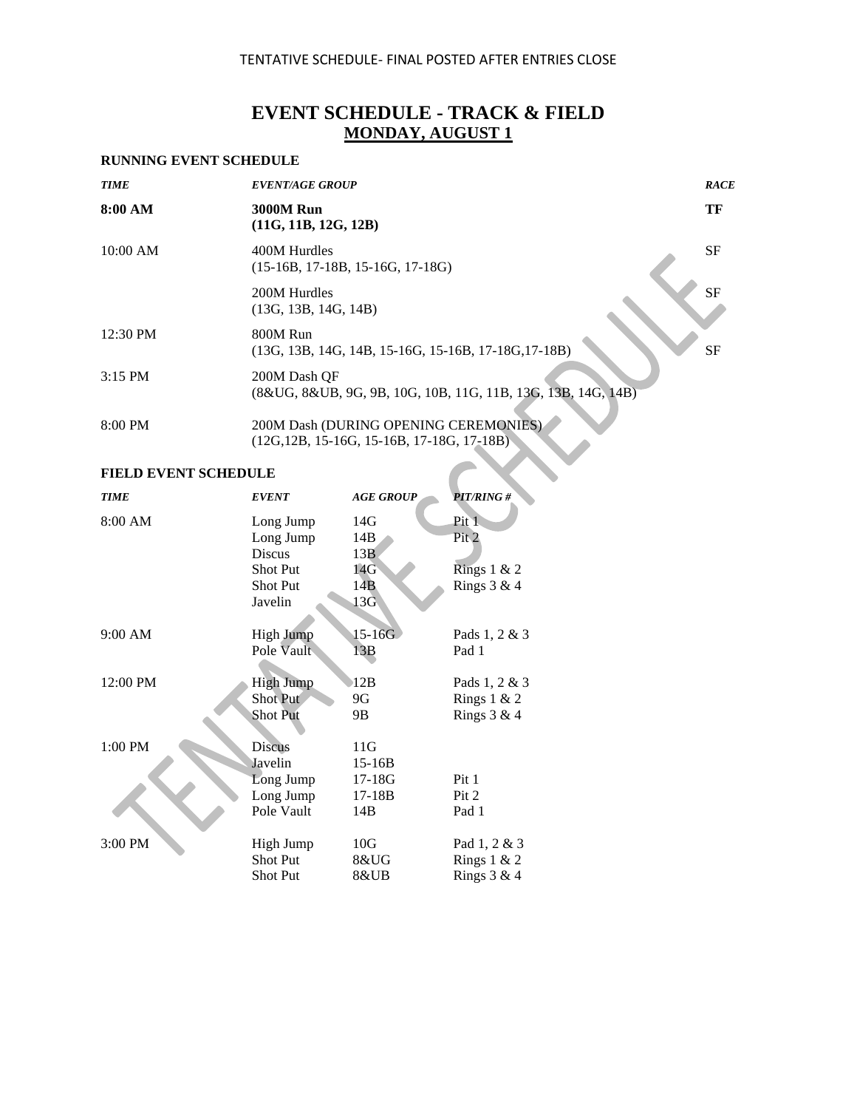# **EVENT SCHEDULE - TRACK & FIELD MONDAY, AUGUST 1**

#### **RUNNING EVENT SCHEDULE**

| <b>TIME</b> | <b>EVENT/AGE GROUP</b>                                                                 | <b>RACE</b> |
|-------------|----------------------------------------------------------------------------------------|-------------|
| 8:00 AM     | <b>3000M Run</b><br>(11G, 11B, 12G, 12B)                                               | TF          |
| 10:00 AM    | 400M Hurdles<br>$(15-16B, 17-18B, 15-16G, 17-18G)$                                     | <b>SF</b>   |
|             | 200M Hurdles<br>(13G, 13B, 14G, 14B)                                                   | <b>SF</b>   |
| 12:30 PM    | 800M Run<br>(13G, 13B, 14G, 14B, 15-16G, 15-16B, 17-18G, 17-18B)                       | <b>SF</b>   |
| $3:15$ PM   | 200M Dash OF<br>(8&UG, 8&UB, 9G, 9B, 10G, 10B, 11G, 11B, 13G, 13B, 14G, 14B)           |             |
| 8:00 PM     | 200M Dash (DURING OPENING CEREMONIES).<br>$(12G, 12B, 15-16G, 15-16B, 17-18G, 17-18B)$ |             |

| <b>TIME</b> | <b>EVENT</b>     | <b>AGE GROUP</b> | <b>PIT/RING#</b> |
|-------------|------------------|------------------|------------------|
| 8:00 AM     | Long Jump        | 14G              | Pit 1            |
|             | Long Jump        | 14B              | Pit 2            |
|             | <b>Discus</b>    | 13B              |                  |
|             | Shot Put         | 14G              | Rings $1 & 2$    |
|             | <b>Shot Put</b>  | 14B              | Rings $3 & 4$    |
|             | Javelin          | 13G              |                  |
|             |                  |                  |                  |
| 9:00 AM     | <b>High Jump</b> | $15 - 16G$       | Pads 1, 2 & 3    |
|             | Pole Vault       | 13B              | Pad 1            |
|             |                  |                  |                  |
| 12:00 PM    | <b>High Jump</b> | 12B              | Pads 1, 2 & 3    |
|             | Shot Put         | 9G               | Rings $1 & 2$    |
|             | <b>Shot Put</b>  | 9Β               | Rings $3 & 4$    |
|             |                  |                  |                  |
| 1:00 PM     | Discus           | 11G              |                  |
|             | Javelin          | $15-16B$         |                  |
|             | Long Jump        | $17-18G$         | Pit 1            |
|             | Long Jump        | $17 - 18B$       | Pit 2            |
|             | Pole Vault       | 14B              | Pad 1            |
|             |                  |                  |                  |
| 3:00 PM     | High Jump        | 10G              | Pad 1, 2 & 3     |
|             | Shot Put         | 8&UG             | Rings $1 & 2$    |
|             | <b>Shot Put</b>  | 8&UB             | Rings $3 & 4$    |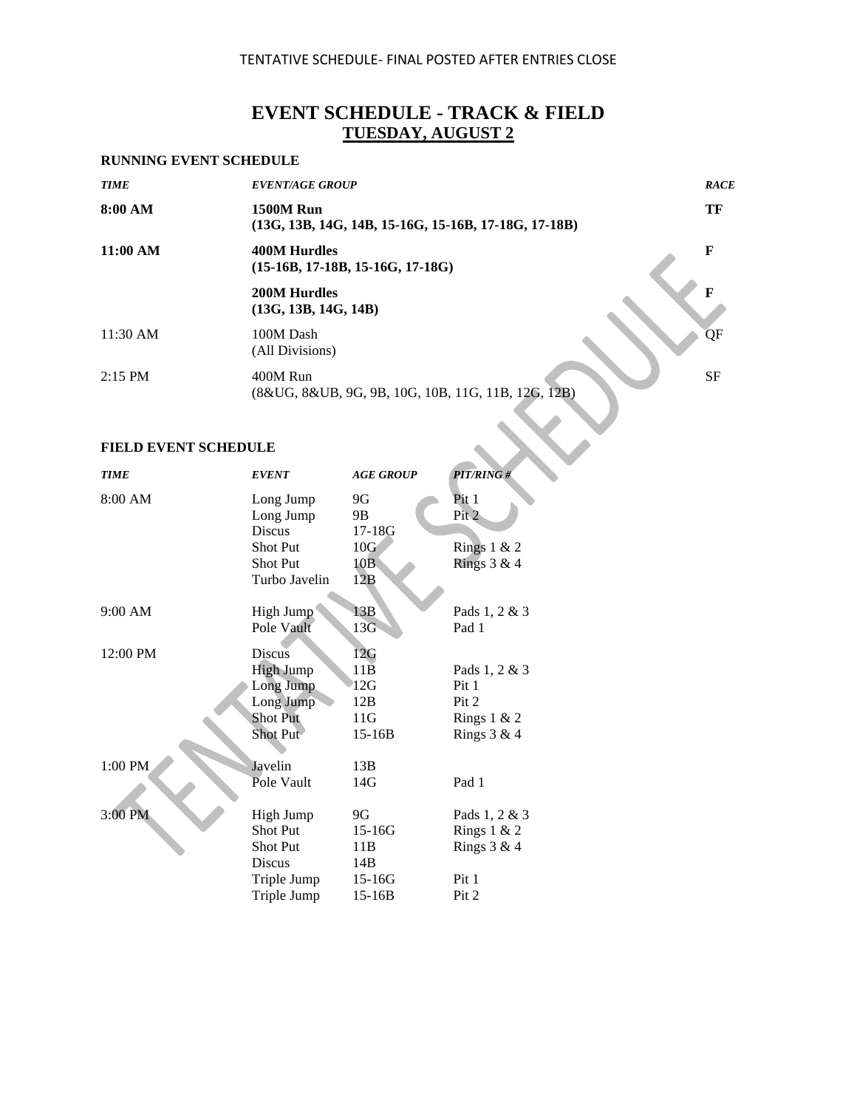# **EVENT SCHEDULE - TRACK & FIELD TUESDAY, AUGUST 2**

#### **RUNNING EVENT SCHEDULE**

| <b>TIME</b>                 | <b>EVENT/AGE GROUP</b>                                                   | <b>RACE</b> |
|-----------------------------|--------------------------------------------------------------------------|-------------|
| 8:00 AM                     | <b>1500M Run</b><br>(13G, 13B, 14G, 14B, 15-16G, 15-16B, 17-18G, 17-18B) | TF          |
| 11:00 AM                    | <b>400M Hurdles</b><br>$(15-16B, 17-18B, 15-16G, 17-18G)$                | F           |
|                             | <b>200M Hurdles</b><br>(13G, 13B, 14G, 14B)                              | F           |
| 11:30 AM                    | 100M Dash<br>(All Divisions)                                             | QF          |
| $2:15$ PM                   | 400M Run<br>(8&UG, 8&UB, 9G, 9B, 10G, 10B, 11G, 11B, 12G, 12B)           | <b>SF</b>   |
|                             |                                                                          |             |
| <b>FIELD EVENT SCHEDULE</b> |                                                                          |             |

| <b>TIME</b> | <b>EVENT</b>     | <b>AGE GROUP</b> | <b>PIT/RING#</b> |
|-------------|------------------|------------------|------------------|
| 8:00 AM     | Long Jump        | 9G               | Pit 1            |
|             | Long Jump        | 9B               | Pit 2            |
|             | <b>Discus</b>    | 17-18G           |                  |
|             | Shot Put         | 10G              | Rings $1 & 2$    |
|             | <b>Shot Put</b>  | 10B              | Rings $3 & 4$    |
|             | Turbo Javelin    | 12B              |                  |
| 9:00 AM     | High Jump        | 13B              | Pads 1, 2 & 3    |
|             | Pole Vault       | $13\overline{G}$ | Pad 1            |
| 12:00 PM    | Discus           | 12G              |                  |
|             | <b>High Jump</b> | $11\overline{B}$ | Pads 1, 2 & 3    |
|             | Long Jump        | 12G              | Pit 1            |
|             | Long Jump        | 12B              | Pit 2            |
|             | <b>Shot Put</b>  | 11G              | Rings $1 & 2$    |
|             | Shot Put         | $15-16B$         | Rings $3 & 4$    |
| 1:00 PM     | Javelin          | 13B              |                  |
|             | Pole Vault       | 14G              | Pad 1            |
| 3:00 PM     | High Jump        | 9G               | Pads 1, 2 & 3    |
|             | Shot Put         | $15 - 16G$       | Rings $1 & 2$    |
|             | Shot Put         | 11B              | Rings $3 & 4$    |
|             | Discus           | 14B              |                  |
|             | Triple Jump      | 15-16G           | Pit 1            |
|             | Triple Jump      | $15 - 16B$       | Pit 2            |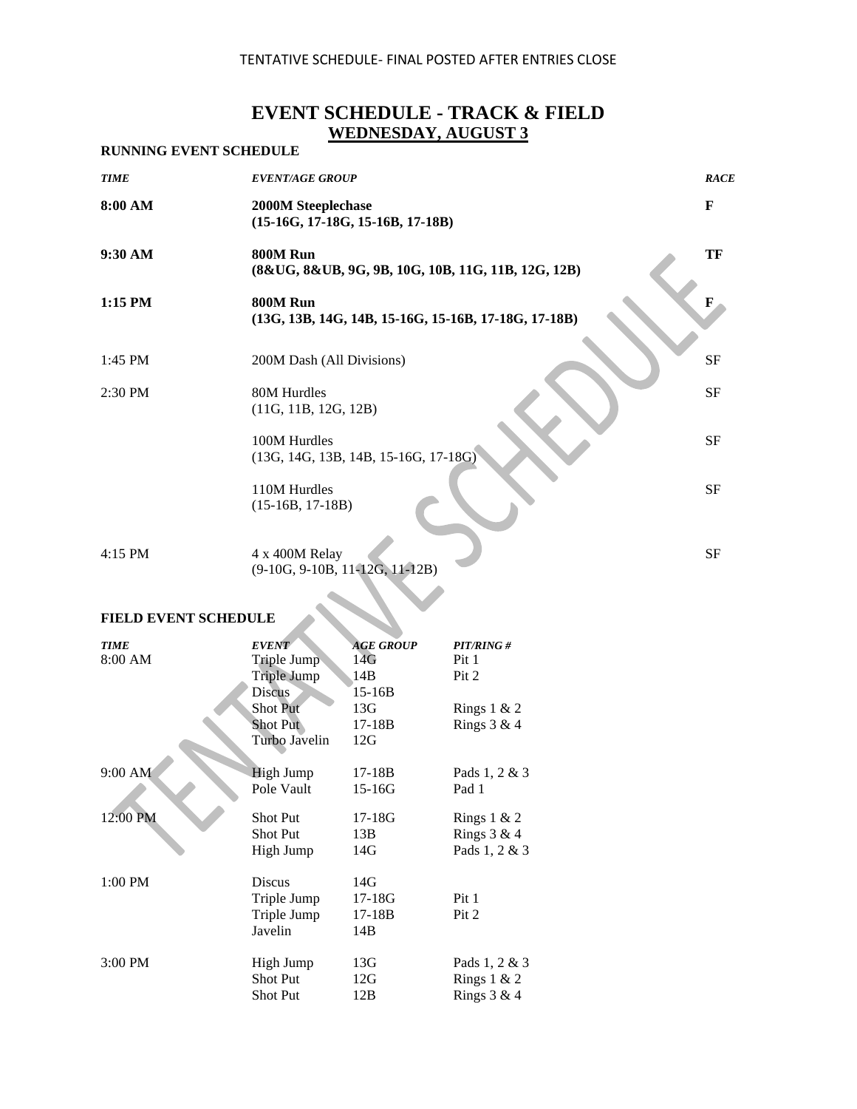# **EVENT SCHEDULE - TRACK & FIELD WEDNESDAY, AUGUST 3**

| <b>RUNNING EVENT SCHEDULE</b> |                                                                  |             |
|-------------------------------|------------------------------------------------------------------|-------------|
| <b>TIME</b>                   | <b>EVENT/AGE GROUP</b>                                           | <b>RACE</b> |
| 8:00 AM                       | <b>2000M Steeplechase</b><br>$(15-16G, 17-18G, 15-16B, 17-18B)$  | $\mathbf F$ |
| 9:30 AM                       | 800M Run<br>(8&UG, 8&UB, 9G, 9B, 10G, 10B, 11G, 11B, 12G, 12B)   | TF          |
| $1:15$ PM                     | 800M Run<br>(13G, 13B, 14G, 14B, 15-16G, 15-16B, 17-18G, 17-18B) | F           |
| 1:45 PM                       | 200M Dash (All Divisions)                                        | <b>SF</b>   |
| $2:30$ PM                     | 80M Hurdles<br>(11G, 11B, 12G, 12B)                              | SF          |
|                               | 100M Hurdles<br>$(13G, 14G, 13B, 14B, 15-16G, 17-18G)$           | <b>SF</b>   |
|                               | 110M Hurdles<br>$(15-16B, 17-18B)$                               | <b>SF</b>   |
| $4:15$ PM                     | 4 x 400M Relay<br>$(9-10G, 9-10B, 11-12G, 11-12B)$               | <b>SF</b>   |
|                               |                                                                  |             |

# **FIELD EVENT SCHEDULE**

| <b>TIME</b><br>8:00 AM | <b>EVENT</b><br>Triple Jump<br><b>Triple Jump</b><br><b>Discus</b><br>Shot Put<br><b>Shot Put</b><br>Turbo Javelin | <b>AGE GROUP</b><br>14G<br>14B<br>$15 - 16B$<br>13G<br>$17-18B$<br>12G | PIT/RING#<br>Pit 1<br>Pit 2<br>Rings $1 & 2$<br>Rings $3 & 4$ |
|------------------------|--------------------------------------------------------------------------------------------------------------------|------------------------------------------------------------------------|---------------------------------------------------------------|
| 9:00 AM                | <b>High Jump</b>                                                                                                   | $17 - 18B$                                                             | Pads 1, 2 & 3                                                 |
|                        | Pole Vault                                                                                                         | $15 - 16G$                                                             | Pad 1                                                         |
| 12:00 PM               | <b>Shot Put</b>                                                                                                    | $17-18G$                                                               | Rings $1 & 2$                                                 |
|                        | <b>Shot Put</b>                                                                                                    | 13B                                                                    | Rings $3 & 4$                                                 |
|                        | High Jump                                                                                                          | 14G                                                                    | Pads 1, 2 & 3                                                 |
| 1:00 PM                | <b>Discus</b><br>Triple Jump<br>Triple Jump<br>Javelin                                                             | 14G<br>$17-18G$<br>$17-18B$<br>14B                                     | Pit 1<br>Pit 2                                                |
| 3:00 PM                | High Jump                                                                                                          | 13G                                                                    | Pads 1, 2 & 3                                                 |
|                        | <b>Shot Put</b>                                                                                                    | 12G                                                                    | Rings $1 & 2$                                                 |
|                        | <b>Shot Put</b>                                                                                                    | 12B                                                                    | Rings $3 & 4$                                                 |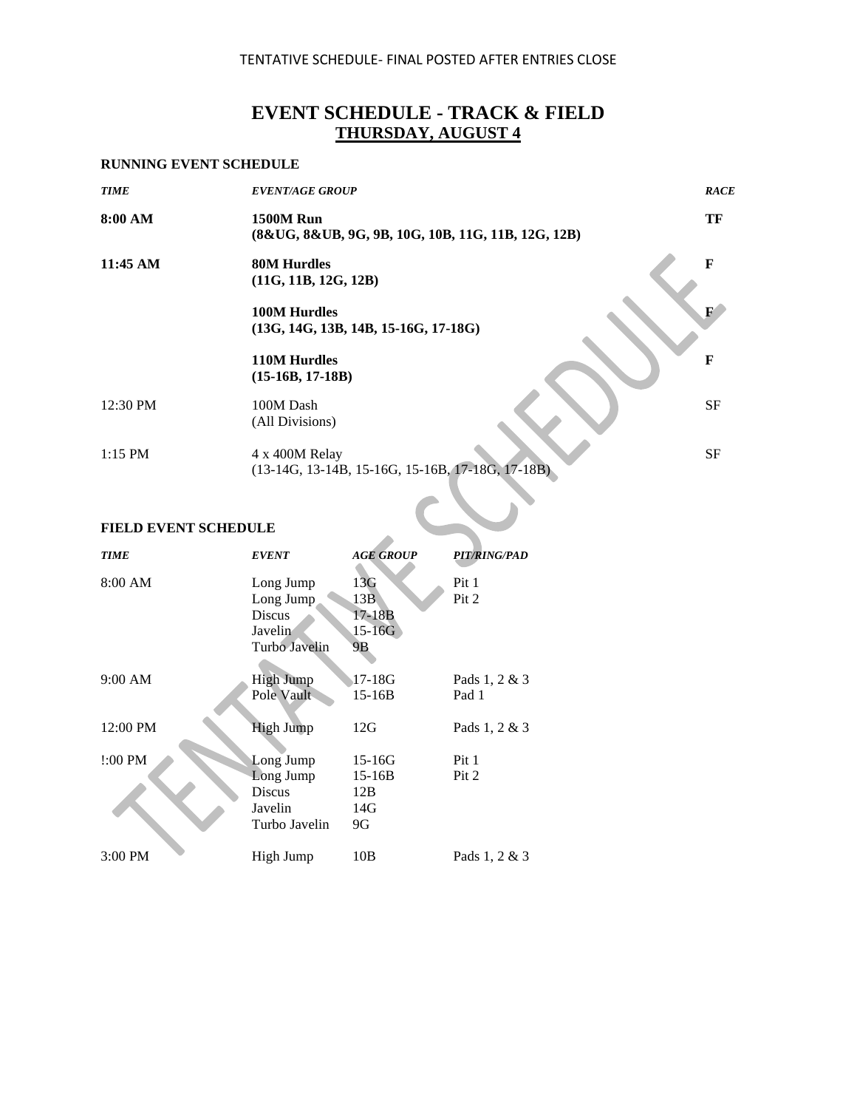# **EVENT SCHEDULE - TRACK & FIELD THURSDAY, AUGUST 4**

#### **RUNNING EVENT SCHEDULE**

| <b>TIME</b>                 | <b>EVENT/AGE GROUP</b>                                                 | <b>RACE</b>  |
|-----------------------------|------------------------------------------------------------------------|--------------|
| 8:00 AM                     | <b>1500M Run</b><br>(8&UG, 8&UB, 9G, 9B, 10G, 10B, 11G, 11B, 12G, 12B) | TF           |
| $11:45 \text{ AM}$          | <b>80M Hurdles</b><br>(11G, 11B, 12G, 12B)                             | $\mathbf{F}$ |
|                             | <b>100M Hurdles</b><br>$(13G, 14G, 13B, 14B, 15-16G, 17-18G)$          | $\mathbf{F}$ |
|                             | 110M Hurdles<br>$(15-16B, 17-18B)$                                     | F            |
| 12:30 PM                    | 100M Dash<br>(All Divisions)                                           | <b>SF</b>    |
| $1:15$ PM                   | 4 x 400M Relay<br>$(13-14G, 13-14B, 15-16G, 15-16B, 17-18G, 17-18B)$   | <b>SF</b>    |
|                             |                                                                        |              |
| <b>FIELD EVENT SCHEDULE</b> |                                                                        |              |

| <b>TIME</b> | <b>EVENT</b>                                                 | <b>AGE GROUP</b>                             | PIT/RING/PAD           |
|-------------|--------------------------------------------------------------|----------------------------------------------|------------------------|
| 8:00 AM     | Long Jump<br>Long Jump<br>Discus<br>Javelin<br>Turbo Javelin | 13G<br>13B<br>$17 - 18B$<br>$15 - 16G$<br>9B | Pit 1<br>Pit 2         |
| $9:00$ AM   | <b>High Jump</b><br>Pole Vault                               | 17-18G<br>$15 - 16B$                         | Pads 1, 2 & 3<br>Pad 1 |
| 12:00 PM    | <b>High Jump</b>                                             | 12G                                          | Pads 1, 2 & 3          |
| !:00 PM     | Long Jump<br>Long Jump<br>Discus<br>Javelin<br>Turbo Javelin | $15 - 16G$<br>$15 - 16B$<br>12B<br>14G<br>9G | Pit 1<br>Pit 2         |
| $3:00$ PM   | High Jump                                                    | 10B                                          | Pads 1, 2 & 3          |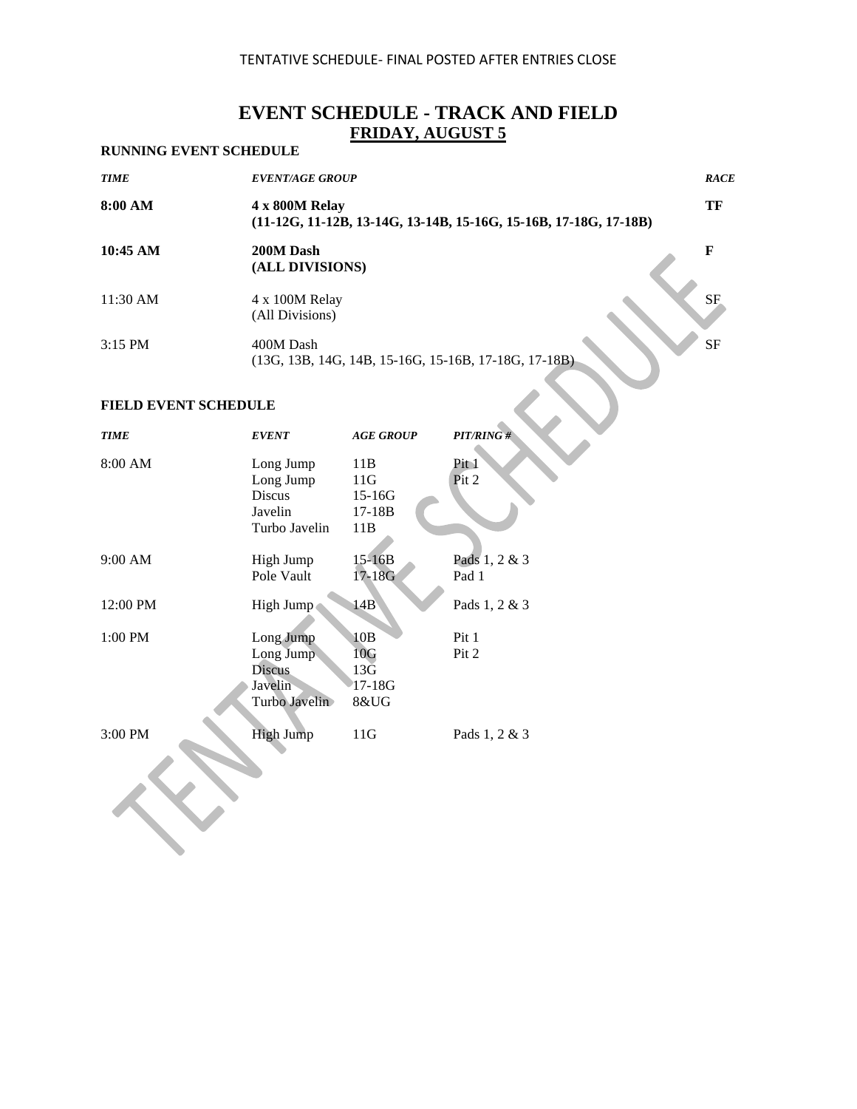# **EVENT SCHEDULE - TRACK AND FIELD FRIDAY, AUGUST 5**

### **RUNNING EVENT SCHEDULE**

| <b>TIME</b> | <b>EVENT/AGE GROUP</b>                                                               | <b>RACE</b> |
|-------------|--------------------------------------------------------------------------------------|-------------|
| 8:00 AM     | 4 x 800M Relay<br>$(11-12G, 11-12B, 13-14G, 13-14B, 15-16G, 15-16B, 17-18G, 17-18B)$ | TF          |
| 10:45 AM    | 200M Dash<br>(ALL DIVISIONS)                                                         | F           |
| 11:30 AM    | 4 x 100M Relay<br>(All Divisions)                                                    | <b>SF</b>   |
| $3:15$ PM   | 400M Dash<br>$(13G, 13B, 14G, 14B, 15-16G, 15-16B, 17-18G, 17-18B)$                  | <b>SF</b>   |

| <b>TIME</b> | <b>EVENT</b>                                                        | <b>AGE GROUP</b>                              | PIT/RING#              |
|-------------|---------------------------------------------------------------------|-----------------------------------------------|------------------------|
| 8:00 AM     | Long Jump<br>Long Jump<br><b>Discus</b><br>Javelin<br>Turbo Javelin | 11B<br>11G<br>$15-16G$<br>17-18B<br>11B       | Pit 1<br>Pit 2         |
| 9:00 AM     | High Jump<br>Pole Vault                                             | 15-16B<br>17-18G                              | Pads 1, 2 & 3<br>Pad 1 |
| 12:00 PM    | High Jump                                                           | 14B                                           | Pads 1, 2 & 3          |
| 1:00 PM     | Long Jump<br>Long Jump<br><b>Discus</b><br>Javelin<br>Turbo Javelin | 10B<br>10G<br>$13\bar{G}$<br>$17-18G$<br>8&UG | Pit 1<br>Pit 2         |
| 3:00 PM     | <b>High Jump</b>                                                    | 11G                                           | Pads 1, 2 & 3          |